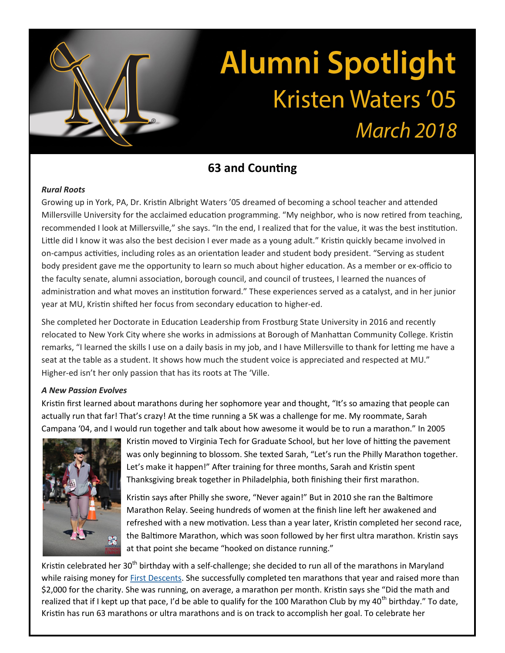# **Alumni Spotlight Kristen Waters '05 March 2018**

## **63 and Counting**

### *Rural Roots*

Growing up in York, PA, Dr. Kristin Albright Waters '05 dreamed of becoming a school teacher and attended Millersville University for the acclaimed education programming. "My neighbor, who is now retired from teaching, recommended I look at Millersville," she says. "In the end, I realized that for the value, it was the best institution. Little did I know it was also the best decision I ever made as a young adult." Kristin quickly became involved in on-campus activities, including roles as an orientation leader and student body president. "Serving as student body president gave me the opportunity to learn so much about higher education. As a member or ex-officio to the faculty senate, alumni association, borough council, and council of trustees, I learned the nuances of administration and what moves an institution forward." These experiences served as a catalyst, and in her junior year at MU, Kristin shifted her focus from secondary education to higher-ed.

She completed her Doctorate in Education Leadership from Frostburg State University in 2016 and recently relocated to New York City where she works in admissions at Borough of Manhattan Community College. Kristin remarks, "I learned the skills I use on a daily basis in my job, and I have Millersville to thank for letting me have a seat at the table as a student. It shows how much the student voice is appreciated and respected at MU." Higher-ed isn't her only passion that has its roots at The 'Ville.

### *A New Passion Evolves*

Kristin first learned about marathons during her sophomore year and thought, "It's so amazing that people can actually run that far! That's crazy! At the time running a 5K was a challenge for me. My roommate, Sarah Campana '04, and I would run together and talk about how awesome it would be to run a marathon." In 2005



Kristin moved to Virginia Tech for Graduate School, but her love of hitting the pavement was only beginning to blossom. She texted Sarah, "Let's run the Philly Marathon together. Let's make it happen!" After training for three months, Sarah and Kristin spent Thanksgiving break together in Philadelphia, both finishing their first marathon.

Kristin says after Philly she swore, "Never again!" But in 2010 she ran the Baltimore Marathon Relay. Seeing hundreds of women at the finish line left her awakened and refreshed with a new motivation. Less than a year later, Kristin completed her second race, the Baltimore Marathon, which was soon followed by her first ultra marathon. Kristin says at that point she became "hooked on distance running."

Kristin celebrated her 30<sup>th</sup> birthday with a self-challenge; she decided to run all of the marathons in Maryland while raising money for [First Descents.](https://firstdescents.org/) She successfully completed ten marathons that year and raised more than \$2,000 for the charity. She was running, on average, a marathon per month. Kristin says she "Did the math and realized that if I kept up that pace, I'd be able to qualify for the 100 Marathon Club by my  $40^{\text{th}}$  birthday." To date, Kristin has run 63 marathons or ultra marathons and is on track to accomplish her goal. To celebrate her